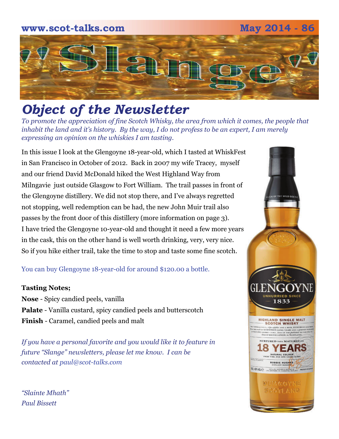# **www.scot-talks.com May 2014 - 86**  $\lfloor 2 \rfloor$

# *Object of the Newsletter*

*To promote the appreciation of fine Scotch Whisky, the area from which it comes, the people that inhabit the land and it's history. By the way, I do not profess to be an expert, I am merely expressing an opinion on the whiskies I am tasting.* 

In this issue I look at the Glengoyne 18-year-old, which I tasted at WhiskFest in San Francisco in October of 2012. Back in 2007 my wife Tracey, myself and our friend David McDonald hiked the West Highland Way from Milngavie just outside Glasgow to Fort William. The trail passes in front of the Glengoyne distillery. We did not stop there, and I've always regretted not stopping, well redemption can be had, the new John Muir trail also passes by the front door of this distillery (more information on page 3). I have tried the Glengoyne 10-year-old and thought it need a few more years in the cask, this on the other hand is well worth drinking, very, very nice. So if you hike either trail, take the time to stop and taste some fine scotch.

### You can buy Glengoyne 18-year-old for around \$120.00 a bottle.

### **Tasting Notes;**

**Nose** - Spicy candied peels, vanilla **Palate** - Vanilla custard, spicy candied peels and butterscotch **Finish** - Caramel, candied peels and malt

*If you have a personal favorite and you would like it to feature in future "Slange" newsletters, please let me know. I can be contacted at paul@scot-talks.com*

**ILD GEE HIGHLAND SINGLE MALT**<br>- SCOTCH WHISKY **RTURED THEN MATURED A** YE **ROBBIE HUGHES** Review and contained **DUFFGGYNE SGOTLAND** 

*"Slainte Mhath" Paul Bissett*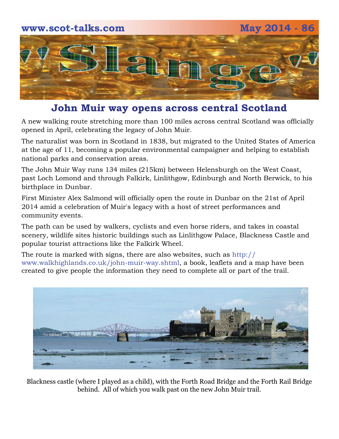# **www.scot-talks.com May 2014 - 86** 2

### **John Muir way opens across central Scotland**

A new walking route stretching more than 100 miles across central Scotland was officially opened in April, celebrating the legacy of John Muir.

The naturalist was born in Scotland in 1838, but migrated to the United States of America at the age of 11, becoming a popular environmental campaigner and helping to establish national parks and conservation areas.

The John Muir Way runs 134 miles (215km) between Helensburgh on the West Coast, past Loch Lomond and through Falkirk, Linlithgow, Edinburgh and North Berwick, to his birthplace in Dunbar.

First Minister Alex Salmond will officially open the route in Dunbar on the 21st of April 2014 amid a celebration of Muir's legacy with a host of street performances and community events.

The path can be used by walkers, cyclists and even horse riders, and takes in coastal scenery, wildlife sites historic buildings such as Linlithgow Palace, Blackness Castle and popular tourist attractions like the Falkirk Wheel.

The route is marked with signs, there are also websites, such as http:// www.walkhighlands.co.uk/john-muir-way.shtml, a book, leaflets and a map have been created to give people the information they need to complete all or part of the trail.



Blackness castle (where I played as a child), with the Forth Road Bridge and the Forth Rail Bridge behind. All of which you walk past on the new John Muir trail.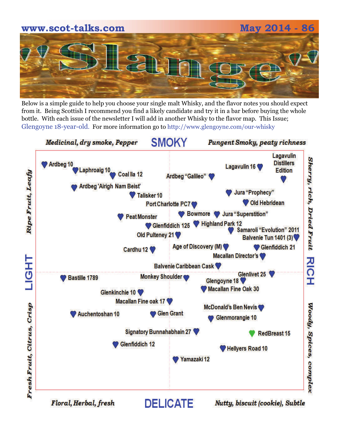

Below is a simple guide to help you choose your single malt Whisky, and the flavor notes you should expect from it. Being Scottish I recommend you find a likely candidate and try it in a bar before buying the whole bottle. With each issue of the newsletter I will add in another Whisky to the flavor map. This Issue; Glengoyne 18-year-old. For more information go to http://www.glengoyne.com/our-whisky

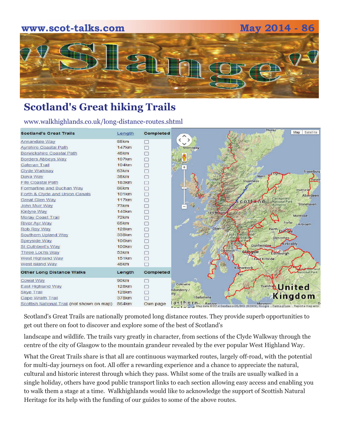

## **Scotland's Great hiking Trails**

www.walkhighlands.co.uk/long-distance-routes.shtml

| <b>Scotland's Great Trails</b>             | Length            | Completed  | Thurso<br>Satellite<br>Map                                                                                                             |
|--------------------------------------------|-------------------|------------|----------------------------------------------------------------------------------------------------------------------------------------|
| Annandale Way                              | 88km              | m          | $\epsilon$<br>$\rightarrow$                                                                                                            |
| <b>Ayrshire Coastal Path</b>               | <b>147km</b>      | П          |                                                                                                                                        |
| <b>Berwickshire Coastal Path</b>           | 48km              | П          | Stornoway                                                                                                                              |
|                                            | 107 <sub>km</sub> |            |                                                                                                                                        |
| <b>Borders Abbeys Way</b>                  | 104km             | 厂          |                                                                                                                                        |
| Cateran Trail                              | 63km              | П<br>п     |                                                                                                                                        |
| Clyde Walkway                              |                   |            | Fraserburg                                                                                                                             |
| Dava Way                                   | 38km              | $\Box$     | Nairn<br>Peter<br><b>Inverness</b>                                                                                                     |
| <b>Fife Coastal Path</b>                   | <b>183km</b>      | 厂          |                                                                                                                                        |
| Formartine and Buchan Way                  | 86km              | $\Box$     | Inverurie                                                                                                                              |
| Forth & Clyde and Union Canals             | 101 <sub>km</sub> | П          | Aberdeen                                                                                                                               |
| <b>Great Glen Way</b>                      | <b>117km</b>      | $\Box$     | Cairngorms<br>cottand<br><b>National Park</b>                                                                                          |
| John Muir Way                              | 73 <sub>km</sub>  | <b>TO</b>  | Stonehaven<br>Authority                                                                                                                |
| Kintyre Way                                | <b>140km</b>      | $\Box$     | Fort William                                                                                                                           |
| <b>Moray Coast Trail</b>                   | 72km              | п          | Montrose                                                                                                                               |
| <b>River Ayr Way</b>                       | 65km              | $\Box$     | Forfar<br>- Arbroath                                                                                                                   |
| Rob Roy Way                                | <b>128km</b>      | $\Box$     | Oban<br>Perth<br><b>Dunde</b>                                                                                                          |
| Southern Upland Way                        | 338km             | $\Box$     | mond and<br>ossach                                                                                                                     |
| Speyside Way                               | <b>106km</b>      | П          | Glenrothes<br>$\mathsf{val}\, \mathsf{P}$                                                                                              |
| St Cuthbert's Way                          | <b>100km</b>      | $\Box$     | Kirkcaldy<br>Dunfermline                                                                                                               |
| Three Lochs Way                            | 53 <sub>km</sub>  | <b>TAS</b> | Greenock o<br>Glasgow<br>Edinburgh                                                                                                     |
| <b>West Highland Way</b>                   | <b>151km</b>      | П          | <b>DEast Kilbride</b>                                                                                                                  |
| West Island Way                            | 48km              | n          |                                                                                                                                        |
| <b>Other Long Distance Walks</b>           | Length            | Completed  | Kilmarnock<br>the moenand<br>National Park                                                                                             |
| Cowal Way                                  | 90 <sub>km</sub>  | <b>For</b> |                                                                                                                                        |
| <b>East Highland Way</b>                   | <b>128km</b>      | $\Box$     | Coleraine<br>Dumfrie United                                                                                                            |
| <b>Skye Trail</b>                          | <b>128km</b>      | $\Box$     | ndonderry /                                                                                                                            |
| <b>Cape Wrath Trail</b>                    | 378km             |            | <b>ITY</b><br>Kingdom<br>Ballymena                                                                                                     |
| Scottish National Trail (not shown on map) | 864 <sub>km</sub> | Own page   | $c$ rn<br>0.55h<br><b>Rannor</b><br><b>Marynorto</b><br>Map data @2014 GeoBasis-DE/BKG (@2009), Google Werms of Use Report a map error |

Scotland's Great Trails are nationally promoted long distance routes. They provide superb opportunities to get out there on foot to discover and explore some of the best of Scotland's

landscape and wildlife. The trails vary greatly in character, from sections of the Clyde Walkway through the centre of the city of Glasgow to the mountain grandeur revealed by the ever popular West Highland Way.

What the Great Trails share is that all are continuous waymarked routes, largely off-road, with the potential for multi-day journeys on foot. All offer a rewarding experience and a chance to appreciate the natural, cultural and historic interest through which they pass. Whilst some of the trails are usually walked in a single holiday, others have good public transport links to each section allowing easy access and enabling you to walk them a stage at a time. Walkhighlands would like to acknowledge the support of Scottish Natural Heritage for its help with the funding of our guides to some of the above routes.